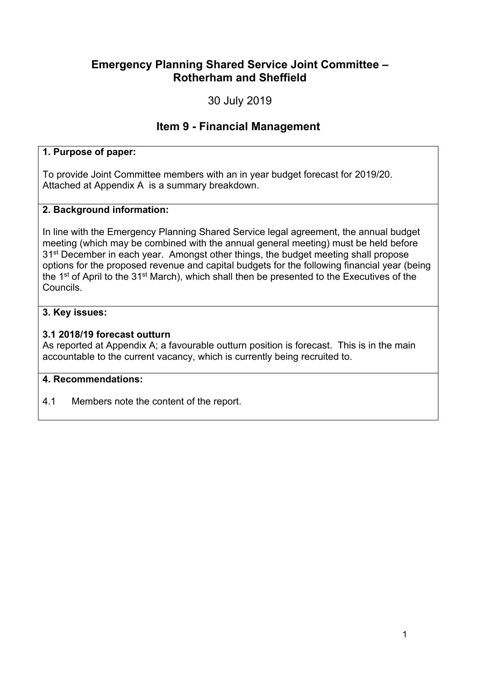### **Emergency Planning Shared Service Joint Committee – Rotherham and Sheffield**

30 July 2019

## **Item 9 - Financial Management**

#### **1. Purpose of paper:**

To provide Joint Committee members with an in year budget forecast for 2019/20. Attached at Appendix A is a summary breakdown.

#### **2. Background information:**

In line with the Emergency Planning Shared Service legal agreement, the annual budget meeting (which may be combined with the annual general meeting) must be held before 31st December in each year. Amongst other things, the budget meeting shall propose options for the proposed revenue and capital budgets for the following financial year (being the 1<sup>st</sup> of April to the 31<sup>st</sup> March), which shall then be presented to the Executives of the Councils.

#### **3. Key issues:**

#### **3.1 2018/19 forecast outturn**

As reported at Appendix A; a favourable outturn position is forecast. This is in the main accountable to the current vacancy, which is currently being recruited to.

#### **4. Recommendations:**

4.1 Members note the content of the report.